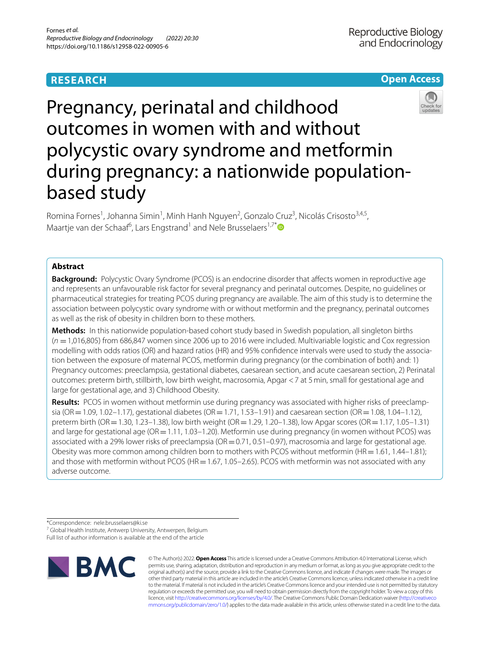# **RESEARCH**





Pregnancy, perinatal and childhood outcomes in women with and without polycystic ovary syndrome and metformin during pregnancy: a nationwide populationbased study

Romina Fornes<sup>1</sup>, Johanna Simin<sup>1</sup>, Minh Hanh Nguyen<sup>2</sup>, Gonzalo Cruz<sup>3</sup>, Nicolás Crisosto<sup>3,4,5</sup>, Maartje van der Schaaf<sup>6</sup>, Lars Engstrand<sup>1</sup> and Nele Brusselaers<sup>1,7[\\*](http://orcid.org/0000-0003-0137-447X)</sup>

# **Abstract**

**Background:** Polycystic Ovary Syndrome (PCOS) is an endocrine disorder that affects women in reproductive age and represents an unfavourable risk factor for several pregnancy and perinatal outcomes. Despite, no guidelines or pharmaceutical strategies for treating PCOS during pregnancy are available. The aim of this study is to determine the association between polycystic ovary syndrome with or without metformin and the pregnancy, perinatal outcomes as well as the risk of obesity in children born to these mothers.

**Methods:** In this nationwide population-based cohort study based in Swedish population, all singleton births (*n* =1,016,805) from 686,847 women since 2006 up to 2016 were included. Multivariable logistic and Cox regression modelling with odds ratios (OR) and hazard ratios (HR) and 95% confdence intervals were used to study the association between the exposure of maternal PCOS, metformin during pregnancy (or the combination of both) and: 1) Pregnancy outcomes: preeclampsia, gestational diabetes, caesarean section, and acute caesarean section, 2) Perinatal outcomes: preterm birth, stillbirth, low birth weight, macrosomia, Apgar <7 at 5min, small for gestational age and large for gestational age, and 3) Childhood Obesity.

**Results:** PCOS in women without metformin use during pregnancy was associated with higher risks of preeclampsia (OR = 1.09, 1.02–1.17), gestational diabetes (OR = 1.71, 1.53–1.91) and caesarean section (OR = 1.08, 1.04–1.12), preterm birth (OR=1.30, 1.23–1.38), low birth weight (OR=1.29, 1.20–1.38), low Apgar scores (OR=1.17, 1.05–1.31) and large for gestational age (OR = 1.11, 1.03–1.20). Metformin use during pregnancy (in women without PCOS) was associated with a 29% lower risks of preeclampsia ( $OR=0.71, 0.51-0.97$ ), macrosomia and large for gestational age. Obesity was more common among children born to mothers with PCOS without metformin (HR=1.61, 1.44–1.81); and those with metformin without PCOS (HR = 1.67, 1.05–2.65). PCOS with metformin was not associated with any adverse outcome.

\*Correspondence: nele.brusselaers@ki.se

<sup>7</sup> Global Health Institute, Antwerp University, Antwerpen, Belgium

Full list of author information is available at the end of the article



© The Author(s) 2022. **Open Access** This article is licensed under a Creative Commons Attribution 4.0 International License, which permits use, sharing, adaptation, distribution and reproduction in any medium or format, as long as you give appropriate credit to the original author(s) and the source, provide a link to the Creative Commons licence, and indicate if changes were made. The images or other third party material in this article are included in the article's Creative Commons licence, unless indicated otherwise in a credit line to the material. If material is not included in the article's Creative Commons licence and your intended use is not permitted by statutory regulation or exceeds the permitted use, you will need to obtain permission directly from the copyright holder. To view a copy of this licence, visit [http://creativecommons.org/licenses/by/4.0/.](http://creativecommons.org/licenses/by/4.0/) The Creative Commons Public Domain Dedication waiver ([http://creativeco](http://creativecommons.org/publicdomain/zero/1.0/) [mmons.org/publicdomain/zero/1.0/](http://creativecommons.org/publicdomain/zero/1.0/)) applies to the data made available in this article, unless otherwise stated in a credit line to the data.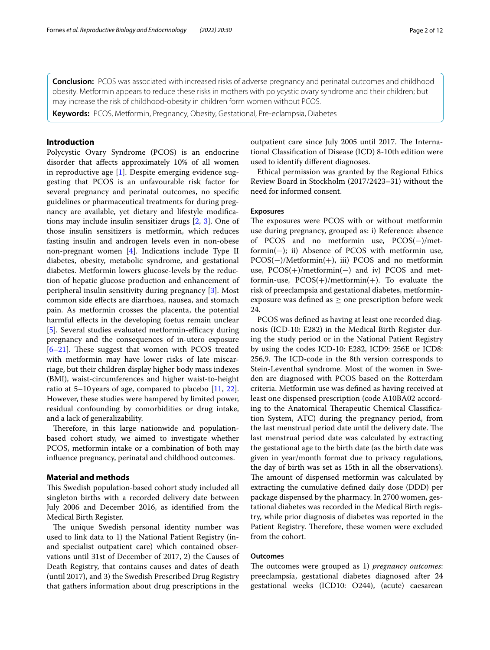**Conclusion:** PCOS was associated with increased risks of adverse pregnancy and perinatal outcomes and childhood obesity. Metformin appears to reduce these risks in mothers with polycystic ovary syndrome and their children; but may increase the risk of childhood-obesity in children form women without PCOS.

**Keywords:** PCOS, Metformin, Pregnancy, Obesity, Gestational, Pre-eclampsia, Diabetes

# **Introduction**

Polycystic Ovary Syndrome (PCOS) is an endocrine disorder that afects approximately 10% of all women in reproductive age [[1\]](#page-10-0). Despite emerging evidence suggesting that PCOS is an unfavourable risk factor for several pregnancy and perinatal outcomes, no specifc guidelines or pharmaceutical treatments for during pregnancy are available, yet dietary and lifestyle modifcations may include insulin sensitizer drugs [\[2](#page-10-1), [3\]](#page-10-2). One of those insulin sensitizers is metformin, which reduces fasting insulin and androgen levels even in non-obese non-pregnant women [[4\]](#page-10-3). Indications include Type II diabetes, obesity, metabolic syndrome, and gestational diabetes. Metformin lowers glucose-levels by the reduction of hepatic glucose production and enhancement of peripheral insulin sensitivity during pregnancy [[3\]](#page-10-2). Most common side efects are diarrhoea, nausea, and stomach pain. As metformin crosses the placenta, the potential harmful efects in the developing foetus remain unclear [[5\]](#page-10-4). Several studies evaluated metformin-efficacy during pregnancy and the consequences of in-utero exposure  $[6-21]$  $[6-21]$ . These suggest that women with PCOS treated with metformin may have lower risks of late miscarriage, but their children display higher body mass indexes (BMI), waist-circumferences and higher waist-to-height ratio at 5–10years of age, compared to placebo [\[11,](#page-10-7) [22](#page-10-8)]. However, these studies were hampered by limited power, residual confounding by comorbidities or drug intake, and a lack of generalizability.

Therefore, in this large nationwide and populationbased cohort study, we aimed to investigate whether PCOS, metformin intake or a combination of both may infuence pregnancy, perinatal and childhood outcomes.

### **Material and methods**

This Swedish population-based cohort study included all singleton births with a recorded delivery date between July 2006 and December 2016, as identifed from the Medical Birth Register.

The unique Swedish personal identity number was used to link data to 1) the National Patient Registry (inand specialist outpatient care) which contained observations until 31st of December of 2017, 2) the Causes of Death Registry, that contains causes and dates of death (until 2017), and 3) the Swedish Prescribed Drug Registry that gathers information about drug prescriptions in the outpatient care since July 2005 until 2017. The International Classifcation of Disease (ICD) 8-10th edition were used to identify diferent diagnoses.

Ethical permission was granted by the Regional Ethics Review Board in Stockholm (2017/2423–31) without the need for informed consent.

# **Exposures**

The exposures were PCOS with or without metformin use during pregnancy, grouped as: i) Reference: absence of PCOS and no metformin use, PCOS(−)/metformin(−); ii) Absence of PCOS with metformin use, PCOS(−)/Metformin(+), iii) PCOS and no metformin use,  $PCOS(+)$ /metformin(-) and iv) PCOS and metformin-use,  $PCOS(+)$ /metformin(+). To evaluate the risk of preeclampsia and gestational diabetes, metforminexposure was defined as  $\geq$  one prescription before week 24.

PCOS was defned as having at least one recorded diagnosis (ICD-10: E282) in the Medical Birth Register during the study period or in the National Patient Registry by using the codes ICD-10: E282, ICD9: 256E or ICD8: 256,9. The ICD-code in the 8th version corresponds to Stein-Leventhal syndrome. Most of the women in Sweden are diagnosed with PCOS based on the Rotterdam criteria. Metformin use was defned as having received at least one dispensed prescription (code A10BA02 according to the Anatomical Therapeutic Chemical Classification System, ATC) during the pregnancy period, from the last menstrual period date until the delivery date. The last menstrual period date was calculated by extracting the gestational age to the birth date (as the birth date was given in year/month format due to privacy regulations, the day of birth was set as 15th in all the observations). The amount of dispensed metformin was calculated by extracting the cumulative defned daily dose (DDD) per package dispensed by the pharmacy. In 2700 women, gestational diabetes was recorded in the Medical Birth registry, while prior diagnosis of diabetes was reported in the Patient Registry. Therefore, these women were excluded from the cohort.

# **Outcomes**

The outcomes were grouped as 1) *pregnancy outcomes*: preeclampsia, gestational diabetes diagnosed after 24 gestational weeks (ICD10: O244), (acute) caesarean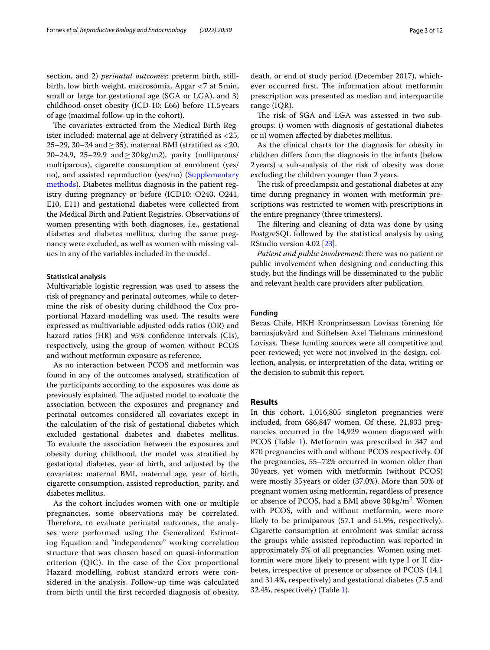section, and 2) *perinatal outcomes*: preterm birth, stillbirth, low birth weight, macrosomia, Apgar <7 at 5min, small or large for gestational age (SGA or LGA), and 3) childhood-onset obesity (ICD-10: E66) before 11.5years of age (maximal follow-up in the cohort).

The covariates extracted from the Medical Birth Register included: maternal age at delivery (stratifed as <25, 25–29, 30–34 and  $\geq$  35), maternal BMI (stratified as <20, 20–24.9, 25–29.9 and  $\geq$  30 kg/m2), parity (nulliparous/ multiparous), cigarette consumption at enrolment (yes/ no), and assisted reproduction (yes/no) [\(Supplementary](#page-9-0)  [methods](#page-9-0)). Diabetes mellitus diagnosis in the patient registry during pregnancy or before (ICD10: O240, O241, E10, E11) and gestational diabetes were collected from the Medical Birth and Patient Registries. Observations of women presenting with both diagnoses, i.e., gestational diabetes and diabetes mellitus, during the same pregnancy were excluded, as well as women with missing values in any of the variables included in the model.

# **Statistical analysis**

Multivariable logistic regression was used to assess the risk of pregnancy and perinatal outcomes, while to determine the risk of obesity during childhood the Cox proportional Hazard modelling was used. The results were expressed as multivariable adjusted odds ratios (OR) and hazard ratios (HR) and 95% confdence intervals (CIs), respectively, using the group of women without PCOS and without metformin exposure as reference.

As no interaction between PCOS and metformin was found in any of the outcomes analysed, stratifcation of the participants according to the exposures was done as previously explained. The adjusted model to evaluate the association between the exposures and pregnancy and perinatal outcomes considered all covariates except in the calculation of the risk of gestational diabetes which excluded gestational diabetes and diabetes mellitus. To evaluate the association between the exposures and obesity during childhood, the model was stratifed by gestational diabetes, year of birth, and adjusted by the covariates: maternal BMI, maternal age, year of birth, cigarette consumption, assisted reproduction, parity, and diabetes mellitus.

As the cohort includes women with one or multiple pregnancies, some observations may be correlated. Therefore, to evaluate perinatal outcomes, the analyses were performed using the Generalized Estimating Equation and "independence" working correlation structure that was chosen based on quasi-information criterion (QIC). In the case of the Cox proportional Hazard modelling, robust standard errors were considered in the analysis. Follow-up time was calculated from birth until the frst recorded diagnosis of obesity, death, or end of study period (December 2017), whichever occurred first. The information about metformin prescription was presented as median and interquartile range (IQR).

The risk of SGA and LGA was assessed in two subgroups: i) women with diagnosis of gestational diabetes or ii) women afected by diabetes mellitus.

As the clinical charts for the diagnosis for obesity in children difers from the diagnosis in the infants (below 2years) a sub-analysis of the risk of obesity was done excluding the children younger than 2 years.

The risk of preeclampsia and gestational diabetes at any time during pregnancy in women with metformin prescriptions was restricted to women with prescriptions in the entire pregnancy (three trimesters).

The filtering and cleaning of data was done by using PostgreSQL followed by the statistical analysis by using RStudio version 4.02 [\[23](#page-10-9)].

*Patient and public involvement:* there was no patient or public involvement when designing and conducting this study, but the fndings will be disseminated to the public and relevant health care providers after publication.

# **Funding**

Becas Chile, HKH Kronprinsessan Lovisas förening för barnasjukvård and Stiftelsen Axel Tielmans minnesfond Lovisas. These funding sources were all competitive and peer-reviewed; yet were not involved in the design, collection, analysis, or interpretation of the data, writing or the decision to submit this report.

# **Results**

In this cohort, 1,016,805 singleton pregnancies were included, from 686,847 women. Of these, 21,833 pregnancies occurred in the 14,929 women diagnosed with PCOS (Table [1](#page-3-0)). Metformin was prescribed in 347 and 870 pregnancies with and without PCOS respectively. Of the pregnancies, 55–72% occurred in women older than 30years, yet women with metformin (without PCOS) were mostly 35years or older (37.0%). More than 50% of pregnant women using metformin, regardless of presence or absence of PCOS, had a BMI above  $30 \text{ kg/m}^2$ . Women with PCOS, with and without metformin, were more likely to be primiparous (57.1 and 51.9%, respectively). Cigarette consumption at enrolment was similar across the groups while assisted reproduction was reported in approximately 5% of all pregnancies. Women using metformin were more likely to present with type I or II diabetes, irrespective of presence or absence of PCOS (14.1 and 31.4%, respectively) and gestational diabetes (7.5 and 32.4%, respectively) (Table [1\)](#page-3-0).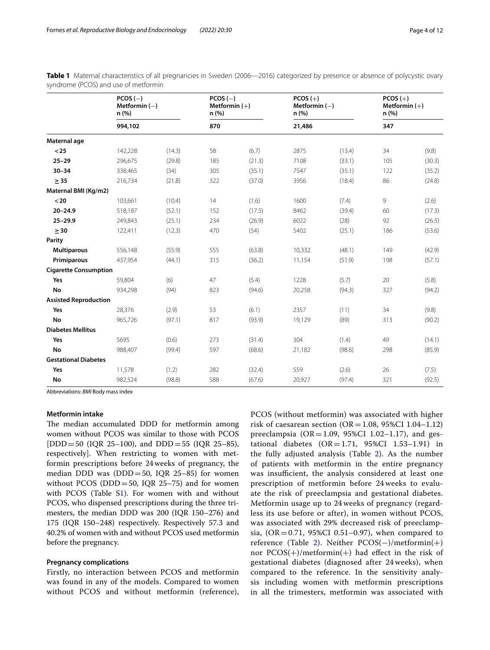|                              | $PCOS(-)$<br>Metformin $(-)$<br>n (%) |        | $PCOS(-)$<br>Metformin $(+)$<br>n(%) |        | $PCOS (+)$<br>Metformin $(-)$<br>n (%) |        | $PCOS (+)$<br>Metformin $(+)$<br>n (%) |        |
|------------------------------|---------------------------------------|--------|--------------------------------------|--------|----------------------------------------|--------|----------------------------------------|--------|
|                              | 994,102                               |        | 870                                  |        | 21,486                                 |        | 347                                    |        |
| Maternal age                 |                                       |        |                                      |        |                                        |        |                                        |        |
| $25$                         | 142,228                               | (14.3) | 58                                   | (6.7)  | 2875                                   | (13.4) | 34                                     | (9.8)  |
| $25 - 29$                    | 296,675                               | (29.8) | 185                                  | (21.3) | 7108                                   | (33.1) | 105                                    | (30.3) |
| $30 - 34$                    | 338,465                               | (34)   | 305                                  | (35.1) | 7547                                   | (35.1) | 122                                    | (35.2) |
| $\geq$ 35                    | 216,734                               | (21.8) | 322                                  | (37.0) | 3956                                   | (18.4) | 86                                     | (24.8) |
| Maternal BMI (Kg/m2)         |                                       |        |                                      |        |                                        |        |                                        |        |
| $20$                         | 103,661                               | (10.4) | 14                                   | (1.6)  | 1600                                   | (7.4)  | 9                                      | (2.6)  |
| $20 - 24.9$                  | 518,187                               | (52.1) | 152                                  | (17.5) | 8462                                   | (39.4) | 60                                     | (17.3) |
| $25 - 29.9$                  | 249,843                               | (25.1) | 234                                  | (26.9) | 6022                                   | (28)   | 92                                     | (26.5) |
| > 30                         | 122,411                               | (12.3) | 470                                  | (54)   | 5402                                   | (25.1) | 186                                    | (53.6) |
| Parity                       |                                       |        |                                      |        |                                        |        |                                        |        |
| <b>Multiparous</b>           | 556,148                               | (55.9) | 555                                  | (63.8) | 10,332                                 | (48.1) | 149                                    | (42.9) |
| Primiparous                  | 437,954                               | (44.1) | 315                                  | (36.2) | 11,154                                 | (51.9) | 198                                    | (57.1) |
| <b>Cigarette Consumption</b> |                                       |        |                                      |        |                                        |        |                                        |        |
| Yes                          | 59,804                                | (6)    | 47                                   | (5.4)  | 1228                                   | (5.7)  | 20                                     | (5.8)  |
| <b>No</b>                    | 934,298                               | (94)   | 823                                  | (94.6) | 20,258                                 | (94.3) | 327                                    | (94.2) |
| <b>Assisted Reproduction</b> |                                       |        |                                      |        |                                        |        |                                        |        |
| Yes                          | 28,376                                | (2.9)  | 53                                   | (6.1)  | 2357                                   | (11)   | 34                                     | (9.8)  |
| <b>No</b>                    | 965,726                               | (97.1) | 817                                  | (93.9) | 19,129                                 | (89)   | 313                                    | (90.2) |
| <b>Diabetes Mellitus</b>     |                                       |        |                                      |        |                                        |        |                                        |        |
| Yes                          | 5695                                  | (0.6)  | 273                                  | (31.4) | 304                                    | (1.4)  | 49                                     | (14.1) |
| No                           | 988,407                               | (99.4) | 597                                  | (68.6) | 21,182                                 | (98.6) | 298                                    | (85.9) |
| <b>Gestational Diabetes</b>  |                                       |        |                                      |        |                                        |        |                                        |        |
| Yes                          | 11,578                                | (1.2)  | 282                                  | (32.4) | 559                                    | (2.6)  | 26                                     | (7.5)  |
| No                           | 982,524                               | (98.8) | 588                                  | (67.6) | 20,927                                 | (97.4) | 321                                    | (92.5) |

<span id="page-3-0"></span>**Table 1** Maternal characteristics of all pregnancies in Sweden (2006—2016) categorized by presence or absence of polycystic ovary syndrome (PCOS) and use of metformin

Abbreviations: *BMI* Body mass index

# **Metformin intake**

The median accumulated DDD for metformin among women without PCOS was similar to those with PCOS [DDD=50 (IQR 25–100), and DDD=55 (IQR 25–85), respectively]. When restricting to women with metformin prescriptions before 24weeks of pregnancy, the median DDD was  $(DDD=50, IQR 25-85)$  for women without PCOS (DDD=50, IQR  $25-75$ ) and for women with PCOS (Table S[1\)](#page-9-0). For women with and without PCOS, who dispensed prescriptions during the three trimesters, the median DDD was 200 (IQR 150–276) and 175 (IQR 150–248) respectively. Respectively 57.3 and 40.2% of women with and without PCOS used metformin before the pregnancy.

# **Pregnancy complications**

Firstly, no interaction between PCOS and metformin was found in any of the models. Compared to women without PCOS and without metformin (reference), PCOS (without metformin) was associated with higher risk of caesarean section (OR=1.08, 95%CI 1.04–1.12) preeclampsia ( $OR = 1.09$ , 95%CI 1.02-1.17), and gestational diabetes  $(OR = 1.71, 95\% CI 1.53-1.91)$  in the fully adjusted analysis (Table [2\)](#page-4-0). As the number of patients with metformin in the entire pregnancy was insufficient, the analysis considered at least one prescription of metformin before 24 weeks to evaluate the risk of preeclampsia and gestational diabetes. Metformin usage up to 24 weeks of pregnancy (regardless its use before or after), in women without PCOS, was associated with 29% decreased risk of preeclampsia,  $OR = 0.71$ , 95%CI 0.51-0.97), when compared to reference (Table [2](#page-4-0)). Neither PCOS(−)/metformin(+) nor PCOS(+)/metformin(+) had efect in the risk of gestational diabetes (diagnosed after 24 weeks), when compared to the reference. In the sensitivity analysis including women with metformin prescriptions in all the trimesters, metformin was associated with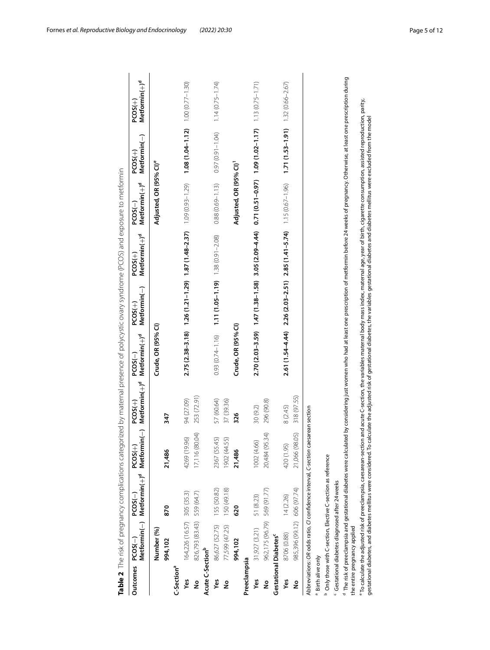<span id="page-4-0"></span>

|                               |                                                            |                                                                                   |                            |                               |                              |                                                               | Table 2 The risk of pregnancy complications categorized by maternal presence of polycystic ovary syndrome (PCOS) and exposure to metformin                                                                                                                                                                                                                                                                                       |                                    |                                           |                               |
|-------------------------------|------------------------------------------------------------|-----------------------------------------------------------------------------------|----------------------------|-------------------------------|------------------------------|---------------------------------------------------------------|----------------------------------------------------------------------------------------------------------------------------------------------------------------------------------------------------------------------------------------------------------------------------------------------------------------------------------------------------------------------------------------------------------------------------------|------------------------------------|-------------------------------------------|-------------------------------|
| Outcomes PCOS(-)              |                                                            | Metformin $(-)$ Metformin $(+)^d$ Metformin<br>$PCOS(-)$                          | $\frac{1}{2}$<br>$PCOS(+)$ | $Methodmin(+)^d$<br>$PCOS(+)$ | $Meformin(+)^d$<br>$PCOS(-)$ | $Mettormin(-)$<br>$PCOS(+)$                                   | $Meformin(+)^d$<br>$PCOS(+)$                                                                                                                                                                                                                                                                                                                                                                                                     | $Meformin(+)^d$<br>$PCOS(-)$       | $Methodmin(-)$<br>$PCOS(+)$               | $Metformin(+)^d$<br>$PCOS(+)$ |
|                               | Number (%)                                                 |                                                                                   |                            |                               | Crude, OR (95% CI)           |                                                               |                                                                                                                                                                                                                                                                                                                                                                                                                                  | Adjusted, OR (95% CI) <sup>e</sup> |                                           |                               |
|                               | 994,102                                                    | 870                                                                               | 21,486                     | 347                           |                              |                                                               |                                                                                                                                                                                                                                                                                                                                                                                                                                  |                                    |                                           |                               |
| C-Section <sup>a</sup>        |                                                            |                                                                                   |                            |                               |                              |                                                               |                                                                                                                                                                                                                                                                                                                                                                                                                                  |                                    |                                           |                               |
| yes                           | 164,226 (16.57) 305 (35.3)                                 |                                                                                   | 4269 (19.96)               | 94 (27.09)                    |                              |                                                               | $2.75$ $(2.38-3.18)$ $1.26$ $(1.21-1.29)$ $1.87$ $(1.48-2.37)$ $1.09$ $(0.93-1.29)$                                                                                                                                                                                                                                                                                                                                              |                                    | 1.08 $(1.04 - 1.12)$ $1.00 (0.77 - 1.30)$ |                               |
| ş                             | 826,793 (83.43) 559 (64.7)                                 |                                                                                   | 17,116 (80.04)             | 253 (72.91)                   |                              |                                                               |                                                                                                                                                                                                                                                                                                                                                                                                                                  |                                    |                                           |                               |
| Acute C-Section <sup>b</sup>  |                                                            |                                                                                   |                            |                               |                              |                                                               |                                                                                                                                                                                                                                                                                                                                                                                                                                  |                                    |                                           |                               |
| yes                           | 86,627 (52.75)                                             | 155 (50.82)                                                                       | 2367 (55.45)               | 57 (60.64)                    |                              | $(0.93(0.74 - 1.16)$ <b>1.11 (1.05-1.19)</b> 1.38 (0.91-2.08) |                                                                                                                                                                                                                                                                                                                                                                                                                                  | $0.88(0.69 - 1.13)$                | $(10.97)(0.91 - 1.04)$                    | $1.14(0.75 - 1.74)$           |
| ş                             | 77,599 (47.25)                                             | 150 (49.18)                                                                       | 1902 (44.55)               | 37 (39.36)                    |                              |                                                               |                                                                                                                                                                                                                                                                                                                                                                                                                                  |                                    |                                           |                               |
|                               | 994,102                                                    | 620                                                                               | 21,486                     | 326                           | Crude, OR (95% CI)           |                                                               |                                                                                                                                                                                                                                                                                                                                                                                                                                  | Adjusted, OR (95% CI) <sup>1</sup> |                                           |                               |
| Preeclampsia                  |                                                            |                                                                                   |                            |                               |                              |                                                               |                                                                                                                                                                                                                                                                                                                                                                                                                                  |                                    |                                           |                               |
| Yes                           | 31,927 (3.21)                                              | 51 (8.23)                                                                         | 1002 (4.66)                | 30 (9.2)                      |                              |                                                               | $2.70$ ( $2.03$ – $3.59$ ) ( $1.38$ – $1.58$ ) $3.05$ ( $2.05$ ( $3.05$ ( $3.05$ ( $3.05$ ( $3.05$ ( $3.05$ ( $3.05$ ( $3.05$ ( $3.05$ ( $3.05$ ( $3.05$ ( $3.05$ ( $3.05$ ( $3.05$ ( $3.05$ ( $3.05$ ( $3.05$ ( $3.05$ ( $3.05$ $3.05$ $3.05$ $3.05$ $3$                                                                                                                                                                        |                                    |                                           |                               |
| ş                             | 962,175 (96.79) 569 (91.77)                                |                                                                                   | 20,484 (95.34)             | 296 (90.8)                    |                              |                                                               |                                                                                                                                                                                                                                                                                                                                                                                                                                  |                                    |                                           |                               |
|                               | <b>Gestational Diabetes</b> <sup>c</sup>                   |                                                                                   |                            |                               |                              |                                                               |                                                                                                                                                                                                                                                                                                                                                                                                                                  |                                    |                                           |                               |
| Š                             | 8706 (0.88)                                                | 14(2.26)                                                                          | 420 (1.95)                 | 8 (2.45)                      |                              |                                                               | $2.61(1.54 - 4.44)$ $2.26(2.03 - 2.51)$ $2.85(1.41 - 5.74)$ $1.15(0.67 - 1.96)$                                                                                                                                                                                                                                                                                                                                                  |                                    | $1.71(1.53-1.91)$ $1.32(0.66-2.67)$       |                               |
| ş                             | 985,396 (99.12) 606 (97.74)                                |                                                                                   | 21,066 (98.05)             | 318 (97.55)                   |                              |                                                               |                                                                                                                                                                                                                                                                                                                                                                                                                                  |                                    |                                           |                               |
|                               |                                                            | Abbreviations: OR odds ratio, CI confidence interval, C-section caesarean section |                            |                               |                              |                                                               |                                                                                                                                                                                                                                                                                                                                                                                                                                  |                                    |                                           |                               |
| <sup>a</sup> Birth alive only |                                                            |                                                                                   |                            |                               |                              |                                                               |                                                                                                                                                                                                                                                                                                                                                                                                                                  |                                    |                                           |                               |
|                               |                                                            | <sup>b</sup> Only those with C-section, Elective C-section as reference           |                            |                               |                              |                                                               |                                                                                                                                                                                                                                                                                                                                                                                                                                  |                                    |                                           |                               |
|                               | <sup>c</sup> Gestational diabetes diagnosed after 24 weeks |                                                                                   |                            |                               |                              |                                                               |                                                                                                                                                                                                                                                                                                                                                                                                                                  |                                    |                                           |                               |
|                               | the entire pregnancy applied                               | <sup>d</sup> The risk of preeclampsia and gestational diabetes were calculat      |                            |                               |                              |                                                               | ed by considering just women who had at least one prescription of metformin before 24 weeks of pregnancy. Otherwise, at least one prescription during                                                                                                                                                                                                                                                                            |                                    |                                           |                               |
|                               |                                                            |                                                                                   |                            |                               |                              |                                                               | "To calculate the adjusted risk of preeclampsia, caesarean-section and acute C-section, the variables maternal body mass index, maternal age, year of birth, cigarette consumption, assisted reproduction, parity,<br>gestational diabetes, and diabetes mellitus were considered. To calculate the adjusted risk of gestational diabetes, the variables gestational diabetes and diabetes mellitus were excluded from the model |                                    |                                           |                               |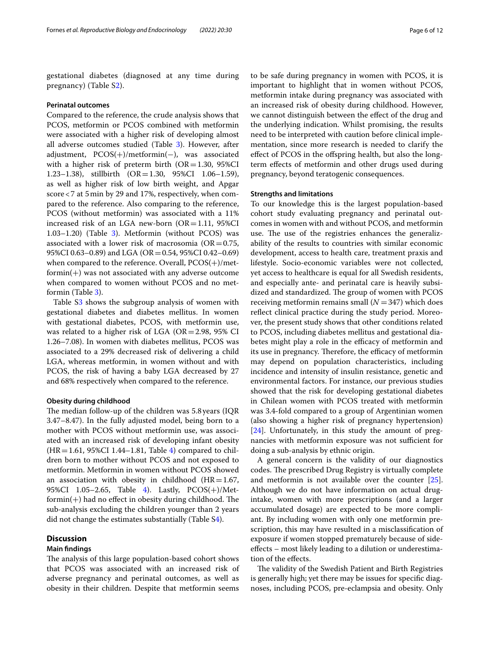gestational diabetes (diagnosed at any time during pregnancy) (Table S[2\)](#page-9-0).

## **Perinatal outcomes**

Compared to the reference, the crude analysis shows that PCOS, metformin or PCOS combined with metformin were associated with a higher risk of developing almost all adverse outcomes studied (Table [3](#page-6-0)). However, after adjustment, PCOS(+)/metformin(−), was associated with a higher risk of preterm birth  $(OR=1.30, 95\%CI$ 1.23–1.38), stillbirth (OR=1.30, 95%CI 1.06–1.59), as well as higher risk of low birth weight, and Apgar score<7 at 5min by 29 and 17%, respectively, when compared to the reference. Also comparing to the reference, PCOS (without metformin) was associated with a 11% increased risk of an LGA new-born  $(OR=1.11, 95\%CI$ 1.03–1.20) (Table [3\)](#page-6-0). Metformin (without PCOS) was associated with a lower risk of macrosomia ( $OR = 0.75$ , 95%CI 0.63–0.89) and LGA (OR=0.54, 95%CI 0.42–0.69) when compared to the reference. Overall, PCOS(+)/metformin(+) was not associated with any adverse outcome when compared to women without PCOS and no metformin (Table [3\)](#page-6-0).

Table [S3](#page-9-0) shows the subgroup analysis of women with gestational diabetes and diabetes mellitus. In women with gestational diabetes, PCOS, with metformin use, was related to a higher risk of LGA ( $OR = 2.98$ ,  $95\%$  CI 1.26–7.08). In women with diabetes mellitus, PCOS was associated to a 29% decreased risk of delivering a child LGA, whereas metformin, in women without and with PCOS, the risk of having a baby LGA decreased by 27 and 68% respectively when compared to the reference.

### **Obesity during childhood**

The median follow-up of the children was  $5.8$  years (IQR 3.47–8.47). In the fully adjusted model, being born to a mother with PCOS without metformin use, was associated with an increased risk of developing infant obesity  $(HR=1.61, 95\% CI\ 1.44-1.81, Table 4) compared to chil (HR=1.61, 95\% CI\ 1.44-1.81, Table 4) compared to chil (HR=1.61, 95\% CI\ 1.44-1.81, Table 4) compared to chil$ dren born to mother without PCOS and not exposed to metformin. Metformin in women without PCOS showed an association with obesity in childhood  $(HR=1.67,$ 95%CI 1.05–2.65, Table [4\)](#page-7-0). Lastly, PCOS(+)/Met $formin(+)$  had no effect in obesity during childhood. The sub-analysis excluding the children younger than 2 years did not change the estimates substantially (Table S[4\)](#page-9-0).

# **Discussion**

# **Main fndings**

The analysis of this large population-based cohort shows that PCOS was associated with an increased risk of adverse pregnancy and perinatal outcomes, as well as obesity in their children. Despite that metformin seems to be safe during pregnancy in women with PCOS, it is important to highlight that in women without PCOS, metformin intake during pregnancy was associated with an increased risk of obesity during childhood. However, we cannot distinguish between the efect of the drug and the underlying indication. Whilst promising, the results need to be interpreted with caution before clinical implementation, since more research is needed to clarify the efect of PCOS in the ofspring health, but also the longterm efects of metformin and other drugs used during pregnancy, beyond teratogenic consequences.

### **Strengths and limitations**

To our knowledge this is the largest population-based cohort study evaluating pregnancy and perinatal outcomes in women with and without PCOS, and metformin use. The use of the registries enhances the generalizability of the results to countries with similar economic development, access to health care, treatment praxis and lifestyle. Socio-economic variables were not collected, yet access to healthcare is equal for all Swedish residents, and especially ante- and perinatal care is heavily subsidized and standardized. The group of women with PCOS receiving metformin remains small  $(N = 347)$  which does reflect clinical practice during the study period. Moreover, the present study shows that other conditions related to PCOS, including diabetes mellitus and gestational diabetes might play a role in the efficacy of metformin and its use in pregnancy. Therefore, the efficacy of metformin may depend on population characteristics, including incidence and intensity of insulin resistance, genetic and environmental factors. For instance, our previous studies showed that the risk for developing gestational diabetes in Chilean women with PCOS treated with metformin was 3.4-fold compared to a group of Argentinian women (also showing a higher risk of pregnancy hypertension) [[24\]](#page-10-10). Unfortunately, in this study the amount of pregnancies with metformin exposure was not sufficient for doing a sub-analysis by ethnic origin.

A general concern is the validity of our diagnostics codes. The prescribed Drug Registry is virtually complete and metformin is not available over the counter [\[25](#page-10-11)]. Although we do not have information on actual drugintake, women with more prescriptions (and a larger accumulated dosage) are expected to be more compliant. By including women with only one metformin prescription, this may have resulted in a misclassifcation of exposure if women stopped prematurely because of sideefects – most likely leading to a dilution or underestimation of the efects.

The validity of the Swedish Patient and Birth Registries is generally high; yet there may be issues for specifc diagnoses, including PCOS, pre-eclampsia and obesity. Only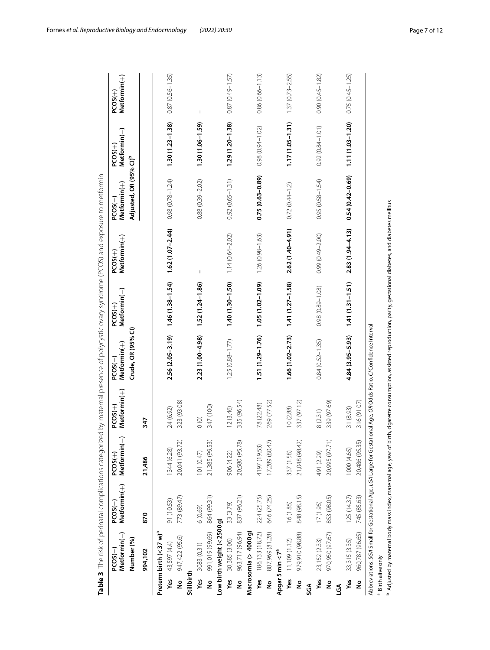<span id="page-6-0"></span>

| $\overline{\phantom{a}}$<br>í                            |  |
|----------------------------------------------------------|--|
| .<br>.<br>.                                              |  |
| i                                                        |  |
|                                                          |  |
|                                                          |  |
| j                                                        |  |
| j                                                        |  |
|                                                          |  |
|                                                          |  |
| i                                                        |  |
| l                                                        |  |
| Ì                                                        |  |
| ς<br>Σ                                                   |  |
|                                                          |  |
| ī                                                        |  |
| ļ<br>5                                                   |  |
| Ċ                                                        |  |
| Ì<br>١                                                   |  |
| i<br>J                                                   |  |
| ï                                                        |  |
| í                                                        |  |
| Ó<br>$\mathbf{I}$                                        |  |
|                                                          |  |
| s<br>S<br>ׇׅ֘֝֬                                          |  |
| 7<br>١                                                   |  |
|                                                          |  |
|                                                          |  |
|                                                          |  |
|                                                          |  |
| 5<br>ļ                                                   |  |
|                                                          |  |
| j                                                        |  |
|                                                          |  |
| ١                                                        |  |
|                                                          |  |
|                                                          |  |
| l                                                        |  |
| ļ                                                        |  |
| i<br>J                                                   |  |
| í                                                        |  |
|                                                          |  |
| ļ<br>ï                                                   |  |
| č<br>۱                                                   |  |
| ļ<br>۳                                                   |  |
| ļ                                                        |  |
| J<br>ú                                                   |  |
| í                                                        |  |
| ğ                                                        |  |
| )<br>D<br>D                                              |  |
| $\frac{1}{2}$                                            |  |
|                                                          |  |
| í                                                        |  |
|                                                          |  |
| ï                                                        |  |
| $\frac{1}{2}$<br>Į                                       |  |
| í                                                        |  |
| i                                                        |  |
| )<br>)<br>)<br>ׇ֖֚֚֚֚֡֝֬֝֬֝<br>$\ddot{\phantom{0}}$<br>۱ |  |
|                                                          |  |
| ׆<br>ק                                                   |  |
|                                                          |  |
| ł                                                        |  |
|                                                          |  |
|                                                          |  |
| $\vdots$                                                 |  |
| I<br>į                                                   |  |
| i                                                        |  |
| $\ddot{\phantom{0}}$                                     |  |
| j                                                        |  |
| d<br>ï                                                   |  |
| į<br>$\frac{1}{\epsilon}$                                |  |
| ç                                                        |  |
| i                                                        |  |
| l<br>J<br>ý<br>١                                         |  |
|                                                          |  |
| Ì                                                        |  |
|                                                          |  |
| į<br>ì                                                   |  |
| ¢<br>۱                                                   |  |
| $\mathbf \zeta$                                          |  |
| Ī                                                        |  |
| $\epsilon$<br>١<br>١                                     |  |
| Ó<br>1                                                   |  |
| :<br>i                                                   |  |
|                                                          |  |
| j<br>į<br>7                                              |  |

|            | $Mettormin(-)$<br>Number (%)<br>$PCOS(-)$ | Metformin(+)<br>$PCOS(-)$ | $Mettormin(-)$<br>$PCOS(+)$ | $Mettormin(+)$<br>$PCOS(+)$ | Crude, OR (95% CI)<br>Metformin(+)<br>$PCOS(-)$ | Metformin(-)<br>$PCOS(+)$ | Metformin(+)<br>$PCOS(+)$                             | Adjusted, OR (95% CI) <sup>b</sup><br>Metformin(+)<br>$PCOS(-)$ | Metformin $(-)$<br>$PCOS(+)$ | Metformin(+)<br>$PCOS(+)$ |
|------------|-------------------------------------------|---------------------------|-----------------------------|-----------------------------|-------------------------------------------------|---------------------------|-------------------------------------------------------|-----------------------------------------------------------------|------------------------------|---------------------------|
|            | 994,102                                   | 870                       | 21,486                      | 347                         |                                                 |                           |                                                       |                                                                 |                              |                           |
|            | Preterm birth (<37 w) <sup>a</sup>        |                           |                             |                             |                                                 |                           |                                                       |                                                                 |                              |                           |
|            | Yes $43,597(4.4)$                         | 91 (10.53)                | 1344 (6.28)                 | 24 (6.92)                   | $2.56(2.05 - 3.19)$                             |                           | $1.46(1.38-1.54)$ $1.62(1.07-2.44)$ $0.98(0.78-1.24)$ |                                                                 | $1.30(1.23 - 1.38)$          | $0.87(0.56 - 1.35)$       |
| 。<br>2     | 947,422 (95.6)                            | 773 (89.47)               | 20,041 (93.72)              | 323 (93.08)                 |                                                 |                           |                                                       |                                                                 |                              |                           |
| Stillbirth |                                           |                           |                             |                             |                                                 |                           |                                                       |                                                                 |                              |                           |
|            | <b>Yes</b> $3083(0.31)$                   | 6(0.69)                   | 101 (0.47)                  | (0)                         | 2.23 (1.00-4.98)                                | $1.52(1.24 - 1.86)$       | ı                                                     | $0.88(0.39 - 2.02)$                                             | 1.30 (1.06-1.59)             | $\mid$                    |
|            | No 991,019 (99.69)                        | 864 (99.31)               | 21,385 (99.53)              | 347 (100)                   |                                                 |                           |                                                       |                                                                 |                              |                           |
|            | Low birth weight $(<$ 2500 g)             |                           |                             |                             |                                                 |                           |                                                       |                                                                 |                              |                           |
|            | Yes 30,385 (3.06)                         | 33 (3.79)                 | 906 (4.22)                  | 12(3.46)                    | $1.25(0.88 - 1.77)$                             | $1.40(1.30 - 1.50)$       | $1.14(0.64 - 2.02)$                                   | $0.92(0.65 - 1.31)$                                             | $1.29(1.20 - 1.38)$          | $0.87(0.49 - 1.57)$       |
|            | No 963,717 (96.94)                        | 837 (96.21)               | 20,580 (95.78)              | 335 (96.54)                 |                                                 |                           |                                                       |                                                                 |                              |                           |
|            | Macrosomia (> 4000 g)                     |                           |                             |                             |                                                 |                           |                                                       |                                                                 |                              |                           |
|            | Yes $186,133(18.72)$                      | 224 (25.75)               | 4197 (1953)                 | 78 (22.48)                  | 1.51 (1.29-1.76)                                | $1.05(1.02 - 1.09)$       | $1.26(0.98 - 1.63)$                                   | $0.75(0.63 - 0.89)$                                             | $0.98(0.94 - 1.02)$          | $0.86(0.66 - 1.13)$       |
| ءِ<br>ح    | 807,969 (81.28)                           | 646 (74.25)               | 17,289 (80.47)              | 269 (77.52)                 |                                                 |                           |                                                       |                                                                 |                              |                           |
|            | Apgar 5 min < 7ª                          |                           |                             |                             |                                                 |                           |                                                       |                                                                 |                              |                           |
|            | <b>Yes</b> $11,109(1.12)$                 | 16 (1.85)                 | 337 (1.58)                  | 10(2.88)                    | $1.66(1.02 - 2.73)$                             | $1.41(1.27 - 1.58)$       | $2.62(1.40 - 4.91)$                                   | $0.72(0.44 - 1.2)$                                              | $1.17(1.05 - 1.31)$          | $1.37(0.73 - 2.55)$       |
| å          | 979,910 (98.88)                           | 848 (98.15)               | 21,048 (98.42)              | 337 (97.12)                 |                                                 |                           |                                                       |                                                                 |                              |                           |
| SGA        |                                           |                           |                             |                             |                                                 |                           |                                                       |                                                                 |                              |                           |
| š          | 23,152 (2.33)                             | 17 (1.95)                 | 491 (2.29)                  | 8(2.31)                     | $0.84(0.52 - 1.35)$                             | $0.98(0.89 - 1.08)$       | $0.99(0.49 - 2.00)$                                   | $0.95(0.58 - 1.54)$                                             | $0.92(0.84 - 1.01)$          | $0.90(0.45 - 1.82)$       |
| ş          | 970,950 (97.67)                           | 853 (98.05)               | 20,995 (97.71)              | 339 (97.69)                 |                                                 |                           |                                                       |                                                                 |                              |                           |
| S          |                                           |                           |                             |                             |                                                 |                           |                                                       |                                                                 |                              |                           |
| yes        | 33,315 (3.35)                             | 125(14.37)                | 1000 (4.65)                 | 31 (8.93)                   | 4.84 (3.95-5.93)                                | $1.41(1.31 - 1.51)$       | $2.83(1.94 - 4.13)$                                   | $0.54(0.42 - 0.69)$                                             | $1.11(1.03 - 1.20)$          | $0.75(0.45 - 1.25)$       |
| ş          | 960,787 (96.65)                           | 745 (85.63)               | 20,486 (95.35)              | 316 (91.07)                 |                                                 |                           |                                                       |                                                                 |                              |                           |

Fornes *et al. Reproductive Biology and Endocrinology (2022) 20:30* Page 7 of 12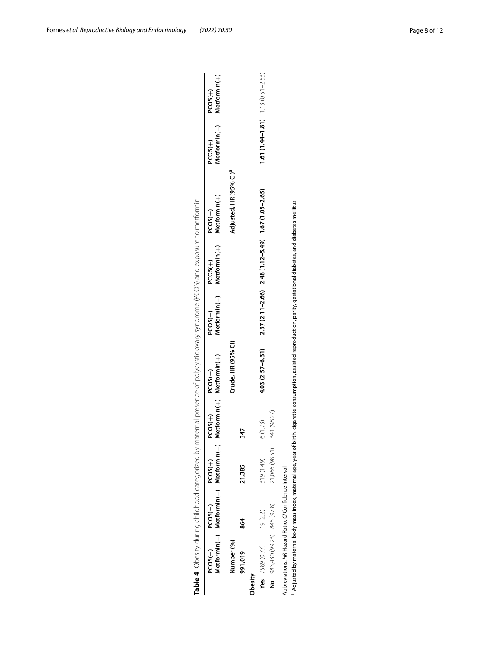|                               | $PCOS(-)$  | $PCOS(-)$                                              | $PCOS(+)$                  | $\mathsf{Metformin}(-) \quad \mathsf{Metormin}(+) \quad \mathsf{Metormin}(-) \quad \mathsf{Metformin}(+) \quad \mathsf{Metormin}(+)$<br>$COS(+)$ | $PCOS(-)$           | PCOS(+) | Metformin $(-)$ Metformin $(+)$<br>PCOS(+)         | Metformin(+)<br>$PCOS(-)$          | $Methodmin(-)$<br>PCOS(+)               | $Mefformin(+)$<br>PCOS(+) |
|-------------------------------|------------|--------------------------------------------------------|----------------------------|--------------------------------------------------------------------------------------------------------------------------------------------------|---------------------|---------|----------------------------------------------------|------------------------------------|-----------------------------------------|---------------------------|
|                               | Number (%) |                                                        |                            |                                                                                                                                                  | Crude, HR (95% CI)  |         |                                                    | Adjusted, HR (95% CI) <sup>a</sup> |                                         |                           |
| 991,019                       |            | 864                                                    | 21,385                     | ž                                                                                                                                                |                     |         |                                                    |                                    |                                         |                           |
| Obesity                       |            |                                                        |                            |                                                                                                                                                  |                     |         |                                                    |                                    |                                         |                           |
| Yes $7589(0.77)$              |            | 19(2.2)                                                | 319 (1.49)                 | (1.73)<br>C                                                                                                                                      | $4.03(2.57 - 6.31)$ |         | 2.37 (2.11-2.66) 2.48 (1.12-5.49) 1.67 (1.05-2.65) |                                    | $1.61(1.44 - 1.81)$ $1.13(0.51 - 2.53)$ |                           |
| No 983,430 (99.23) 845 (97.8) |            |                                                        | 21,066 (98.51) 341 (98.27) |                                                                                                                                                  |                     |         |                                                    |                                    |                                         |                           |
|                               |            | Abbreviations: HR Hazard Ratio, CI Confidence Interval |                            |                                                                                                                                                  |                     |         |                                                    |                                    |                                         |                           |

<span id="page-7-0"></span>Table 4 Obesity during childhood categorized by maternal presence of polycystic ovary syndrome (PCOS) and exposure to metformin

<sup>a</sup> Adjusted by maternal body mass index, maternal age, year of birth, cigarette consumption, assisted reproduction, parity, gestational diabetes, and diabetes mellitus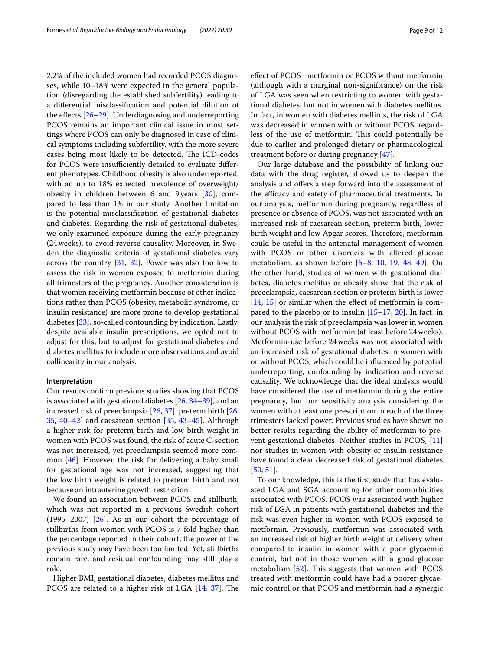2.2% of the included women had recorded PCOS diagnoses, while 10–18% were expected in the general population (disregarding the established subfertility) leading to a diferential misclassifcation and potential dilution of the effects  $[26-29]$  $[26-29]$ . Underdiagnosing and underreporting PCOS remains an important clinical issue in most settings where PCOS can only be diagnosed in case of clinical symptoms including subfertility, with the more severe cases being most likely to be detected. The ICD-codes for PCOS were insufficiently detailed to evaluate different phenotypes. Childhood obesity is also underreported, with an up to 18% expected prevalence of overweight/ obesity in children between 6 and 9 years  $[30]$  $[30]$ , compared to less than 1% in our study. Another limitation is the potential misclassifcation of gestational diabetes and diabetes. Regarding the risk of gestational diabetes, we only examined exposure during the early pregnancy (24weeks), to avoid reverse causality. Moreover, in Sweden the diagnostic criteria of gestational diabetes vary across the country  $[31, 32]$  $[31, 32]$  $[31, 32]$ . Power was also too low to assess the risk in women exposed to metformin during all trimesters of the pregnancy. Another consideration is that women receiving metformin because of other indications rather than PCOS (obesity, metabolic syndrome, or insulin resistance) are more prone to develop gestational diabetes [[33\]](#page-10-17), so-called confounding by indication. Lastly, despite available insulin prescriptions, we opted not to adjust for this, but to adjust for gestational diabetes and diabetes mellitus to include more observations and avoid collinearity in our analysis.

### **Interpretation**

Our results confrm previous studies showing that PCOS is associated with gestational diabetes [[26,](#page-10-12) [34–](#page-10-18)[39\]](#page-10-19), and an increased risk of preeclampsia [\[26](#page-10-12), [37\]](#page-10-20), preterm birth [\[26](#page-10-12), [35,](#page-10-21) [40–](#page-11-0)[42\]](#page-11-1) and caesarean section [\[35,](#page-10-21) [43](#page-11-2)[–45](#page-11-3)]. Although a higher risk for preterm birth and low birth weight in women with PCOS was found, the risk of acute C-section was not increased, yet preeclampsia seemed more common [\[46](#page-11-4)]. However, the risk for delivering a baby small for gestational age was not increased, suggesting that the low birth weight is related to preterm birth and not because an intrauterine growth restriction.

We found an association between PCOS and stillbirth, which was not reported in a previous Swedish cohort  $(1995–2007)$   $[26]$  $[26]$ . As in our cohort the percentage of stillbirths from women with PCOS is 7-fold higher than the percentage reported in their cohort, the power of the previous study may have been too limited. Yet, stillbirths remain rare, and residual confounding may still play a role.

Higher BMI, gestational diabetes, diabetes mellitus and PCOS are related to a higher risk of LGA  $[14, 37]$  $[14, 37]$  $[14, 37]$  $[14, 37]$  $[14, 37]$ . The efect of PCOS+metformin or PCOS without metformin (although with a marginal non-signifcance) on the risk of LGA was seen when restricting to women with gestational diabetes, but not in women with diabetes mellitus. In fact, in women with diabetes mellitus, the risk of LGA was decreased in women with or without PCOS, regardless of the use of metformin. This could potentially be due to earlier and prolonged dietary or pharmacological treatment before or during pregnancy [[47\]](#page-11-5).

Our large database and the possibility of linking our data with the drug register, allowed us to deepen the analysis and ofers a step forward into the assessment of the efficacy and safety of pharmaceutical treatments. In our analysis, metformin during pregnancy, regardless of presence or absence of PCOS, was not associated with an increased risk of caesarean section, preterm birth, lower birth weight and low Apgar scores. Therefore, metformin could be useful in the antenatal management of women with PCOS or other disorders with altered glucose metabolism, as shown before [[6](#page-10-5)[–8](#page-10-23), [10,](#page-10-24) [19,](#page-10-25) [48,](#page-11-6) [49\]](#page-11-7). On the other hand, studies of women with gestational diabetes, diabetes mellitus or obesity show that the risk of preeclampsia, caesarean section or preterm birth is lower [[14,](#page-10-22) [15\]](#page-10-26) or similar when the effect of metformin is compared to the placebo or to insulin [\[15](#page-10-26)[–17](#page-10-27), [20](#page-10-28)]. In fact, in our analysis the risk of preeclampsia was lower in women without PCOS with metformin (at least before 24weeks). Metformin-use before 24weeks was not associated with an increased risk of gestational diabetes in women with or without PCOS, which could be infuenced by potential underreporting, confounding by indication and reverse causality. We acknowledge that the ideal analysis would have considered the use of metformin during the entire pregnancy, but our sensitivity analysis considering the women with at least one prescription in each of the three trimesters lacked power. Previous studies have shown no better results regarding the ability of metformin to prevent gestational diabetes. Neither studies in PCOS, [[11](#page-10-7)] nor studies in women with obesity or insulin resistance have found a clear decreased risk of gestational diabetes [[50,](#page-11-8) [51](#page-11-9)].

To our knowledge, this is the frst study that has evaluated LGA and SGA accounting for other comorbidities associated with PCOS. PCOS was associated with higher risk of LGA in patients with gestational diabetes and the risk was even higher in women with PCOS exposed to metformin. Previously, metformin was associated with an increased risk of higher birth weight at delivery when compared to insulin in women with a poor glycaemic control, but not in those women with a good glucose metabolism  $[52]$  $[52]$ . This suggests that women with PCOS treated with metformin could have had a poorer glycaemic control or that PCOS and metformin had a synergic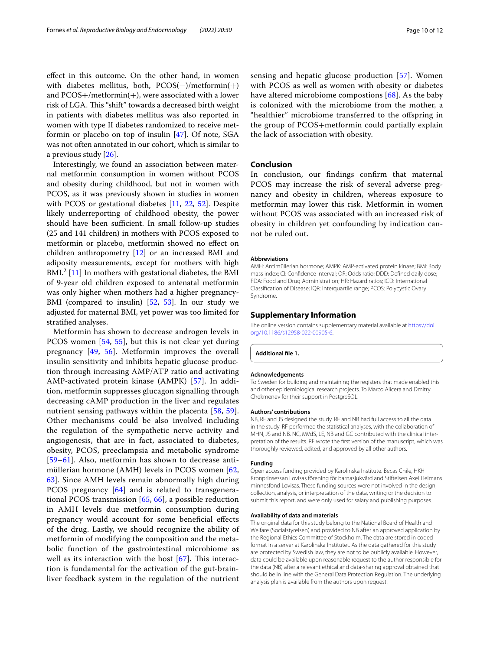efect in this outcome. On the other hand, in women with diabetes mellitus, both, PCOS(−)/metformin(+) and  $PCOS+/metformin(+)$ , were associated with a lower risk of LGA. This "shift" towards a decreased birth weight in patients with diabetes mellitus was also reported in women with type II diabetes randomized to receive metformin or placebo on top of insulin [[47\]](#page-11-5). Of note, SGA was not often annotated in our cohort, which is similar to a previous study [[26](#page-10-12)].

Interestingly, we found an association between maternal metformin consumption in women without PCOS and obesity during childhood, but not in women with PCOS, as it was previously shown in studies in women with PCOS or gestational diabetes [[11,](#page-10-7) [22](#page-10-8), [52](#page-11-10)]. Despite likely underreporting of childhood obesity, the power should have been sufficient. In small follow-up studies (25 and 141 children) in mothers with PCOS exposed to metformin or placebo, metformin showed no efect on children anthropometry [[12\]](#page-10-29) or an increased BMI and adiposity measurements, except for mothers with high BMI.<sup>2</sup> [[11](#page-10-7)] In mothers with gestational diabetes, the BMI of 9-year old children exposed to antenatal metformin was only higher when mothers had a higher pregnancy-BMI (compared to insulin) [[52,](#page-11-10) [53\]](#page-11-11). In our study we adjusted for maternal BMI, yet power was too limited for stratifed analyses.

Metformin has shown to decrease androgen levels in PCOS women [[54,](#page-11-12) [55\]](#page-11-13), but this is not clear yet during pregnancy [\[49](#page-11-7), [56](#page-11-14)]. Metformin improves the overall insulin sensitivity and inhibits hepatic glucose production through increasing AMP/ATP ratio and activating AMP-activated protein kinase (AMPK) [[57](#page-11-15)]. In addition, metformin suppresses glucagon signalling through decreasing cAMP production in the liver and regulates nutrient sensing pathways within the placenta [\[58](#page-11-16), [59\]](#page-11-17). Other mechanisms could be also involved including the regulation of the sympathetic nerve activity and angiogenesis, that are in fact, associated to diabetes, obesity, PCOS, preeclampsia and metabolic syndrome [[59](#page-11-17)[–61](#page-11-18)]. Also, metformin has shown to decrease antimüllerian hormone (AMH) levels in PCOS women [\[62](#page-11-19), [63\]](#page-11-20). Since AMH levels remain abnormally high during PCOS pregnancy [[64\]](#page-11-21) and is related to transgenerational PCOS transmission [\[65](#page-11-22), [66](#page-11-23)], a possible reduction in AMH levels due metformin consumption during pregnancy would account for some benefcial efects of the drug. Lastly, we should recognize the ability of metformin of modifying the composition and the metabolic function of the gastrointestinal microbiome as well as its interaction with the host  $[67]$  $[67]$ . This interaction is fundamental for the activation of the gut-brainliver feedback system in the regulation of the nutrient sensing and hepatic glucose production [\[57\]](#page-11-15). Women with PCOS as well as women with obesity or diabetes have altered microbiome compostions [\[68](#page-11-25)]. As the baby is colonized with the microbiome from the mother, a "healthier" microbiome transferred to the offspring in the group of PCOS+metformin could partially explain the lack of association with obesity.

# **Conclusion**

In conclusion, our fndings confrm that maternal PCOS may increase the risk of several adverse pregnancy and obesity in children, whereas exposure to metformin may lower this risk. Metformin in women without PCOS was associated with an increased risk of obesity in children yet confounding by indication cannot be ruled out.

#### **Abbreviations**

AMH: Antimüllerian hormone; AMPK: AMP-activated protein kinase; BMI: Body mass index; CI: Confdence interval; OR: Odds ratio; DDD: Defned daily dose; FDA: Food and Drug Administration; HR: Hazard ratios; ICD: International Classifcation of Disease; IQR: Interquartile range; PCOS: Polycystic Ovary Syndrome.

### **Supplementary Information**

The online version contains supplementary material available at [https://doi.](https://doi.org/10.1186/s12958-022-00905-6) [org/10.1186/s12958-022-00905-6](https://doi.org/10.1186/s12958-022-00905-6).

<span id="page-9-0"></span>**Additional fle 1.**

## **Acknowledgements**

To Sweden for building and maintaining the registers that made enabled this and other epidemiological research projects. To Marco Alicera and Dmitry Chekmenev for their support in PostgreSQL.

#### **Authors' contributions**

NB, RF and JS designed the study. RF and NB had full access to all the data in the study. RF performed the statistical analyses, with the collaboration of MHN, JS and NB. NC, MVdS, LE, NB and GC contributed with the clinical interpretation of the results. RF wrote the frst version of the manuscript, which was thoroughly reviewed, edited, and approved by all other authors.

#### **Funding**

Open access funding provided by Karolinska Institute. Becas Chile, HKH Kronprinsessan Lovisas förening för barnasjukvård and Stiftelsen Axel Tielmans minnesfond Lovisas. These funding sources were not involved in the design, collection, analysis, or interpretation of the data, writing or the decision to submit this report, and were only used for salary and publishing purposes.

### **Availability of data and materials**

The original data for this study belong to the National Board of Health and Welfare (Socialstyrelsen) and provided to NB after an approved application by the Regional Ethics Committee of Stockholm. The data are stored in coded format in a server at Karolinska Institutet. As the data gathered for this study are protected by Swedish law, they are not to be publicly available. However, data could be available upon reasonable request to the author responsible for the data (NB) after a relevant ethical and data-sharing approval obtained that should be in line with the General Data Protection Regulation. The underlying analysis plan is available from the authors upon request.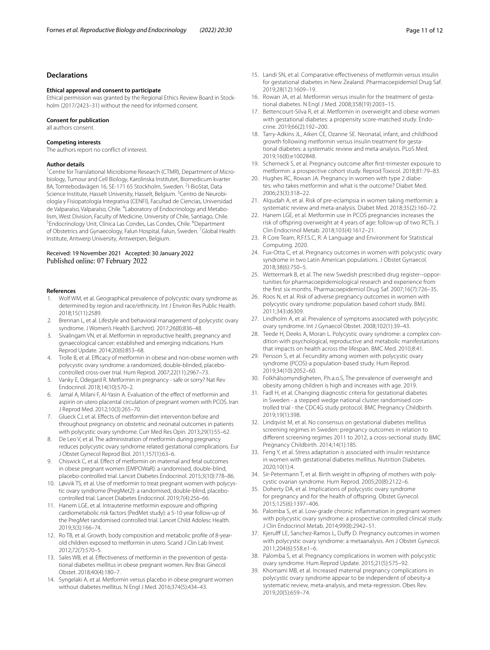# **Declarations**

#### **Ethical approval and consent to participate**

Ethical permission was granted by the Regional Ethics Review Board in Stockholm (2017/2423–31) without the need for informed consent.

### **Consent for publication**

all authors consent.

#### **Competing interests**

The authors report no confict of interest.

### **Author details**

<sup>1</sup> Centre for Translational Microbiome Research (CTMR), Department of Microbiology, Tumour and Cell Biology, Karolinska Institutet, Biomedicum kvarter 8A, Tomtebodavägen 16, SE-171 65 Stockholm, Sweden. <sup>2</sup>l-BioStat, Data Science Institute, Hasselt University, Hasselt, Belgium. <sup>3</sup>Centro de Neurobiología y Fisiopatología Integrativa (CENFI), Facultad de Ciencias, Universidad de Valparaíso, Valparaíso, Chile. <sup>4</sup> Laboratory of Endocrinology and Metabolism, West Division, Faculty of Medicine, University of Chile, Santiago, Chile. Endocrinology Unit, Clínica Las Condes, Las Condes, Chile. <sup>6</sup>Department of Obstetrics and Gynaecology, Falun Hospital, Falun, Sweden. <sup>7</sup> Global Health Institute, Antwerp University, Antwerpen, Belgium.

#### Received: 19 November 2021 Accepted: 30 January 2022 Published online: 07 February 2022

#### **References**

- <span id="page-10-0"></span>Wolf WM, et al. Geographical prevalence of polycystic ovary syndrome as determined by region and race/ethnicity. Int J Environ Res Public Health. 2018;15(11):2589.
- <span id="page-10-1"></span>2. Brennan L, et al. Lifestyle and behavioral management of polycystic ovary syndrome. J Women's Health (Larchmt). 2017;26(8):836–48.
- <span id="page-10-2"></span>Sivalingam VN, et al. Metformin in reproductive health, pregnancy and gynaecological cancer: established and emerging indications. Hum Reprod Update. 2014;20(6):853–68.
- <span id="page-10-3"></span>4. Trolle B, et al. Efficacy of metformin in obese and non-obese women with polycystic ovary syndrome: a randomized, double-blinded, placebocontrolled cross-over trial. Hum Reprod. 2007;22(11):2967–73.
- <span id="page-10-4"></span>5. Vanky E, Odegard R. Metformin in pregnancy - safe or sorry? Nat Rev Endocrinol. 2018;14(10):570–2.
- <span id="page-10-5"></span>6. Jamal A, Milani F, Al-Yasin A. Evaluation of the efect of metformin and aspirin on utero placental circulation of pregnant women with PCOS. Iran J Reprod Med. 2012;10(3):265–70.
- 7. Glueck CJ, et al. Efects of metformin-diet intervention before and throughout pregnancy on obstetric and neonatal outcomes in patients with polycystic ovary syndrome. Curr Med Res Opin. 2013;29(1):55–62.
- <span id="page-10-23"></span>8. De Leo V, et al. The administration of metformin during pregnancy reduces polycystic ovary syndrome related gestational complications. Eur J Obstet Gynecol Reprod Biol. 2011;157(1):63–6.
- 9. Chiswick C, et al. Efect of metformin on maternal and fetal outcomes in obese pregnant women (EMPOWaR): a randomised, double-blind, placebo-controlled trial. Lancet Diabetes Endocrinol. 2015;3(10):778–86.
- <span id="page-10-24"></span>10. Løvvik TS, et al. Use of metformin to treat pregnant women with polycystic ovary syndrome (PregMet2): a randomised, double-blind, placebocontrolled trial. Lancet Diabetes Endocrinol. 2019;7(4):256–66.
- <span id="page-10-7"></span>11. Hanem LGE, et al. Intrauterine metformin exposure and ofspring cardiometabolic risk factors (PedMet study): a 5-10 year follow-up of the PregMet randomised controlled trial. Lancet Child Adolesc Health. 2019;3(3):166–74.
- <span id="page-10-29"></span>12. Ro TB, et al. Growth, body composition and metabolic profle of 8-yearold children exposed to metformin in utero. Scand J Clin Lab Invest. 2012;72(7):570–5.
- 13. Sales WB, et al. Efectiveness of metformin in the prevention of gestational diabetes mellitus in obese pregnant women. Rev Bras Ginecol Obstet. 2018;40(4):180–7.
- <span id="page-10-22"></span>14. Syngelaki A, et al. Metformin versus placebo in obese pregnant women without diabetes mellitus. N Engl J Med. 2016;374(5):434–43.
- <span id="page-10-26"></span>15. Landi SN, et al. Comparative efectiveness of metformin versus insulin for gestational diabetes in New Zealand. Pharmacoepidemiol Drug Saf. 2019;28(12):1609–19.
- 16. Rowan JA, et al. Metformin versus insulin for the treatment of gestational diabetes. N Engl J Med. 2008;358(19):2003–15.
- <span id="page-10-27"></span>17. Bettencourt-Silva R, et al. Metformin in overweight and obese women with gestational diabetes: a propensity score-matched study. Endocrine. 2019;66(2):192–200.
- 18. Tarry-Adkins JL, Aiken CE, Ozanne SE. Neonatal, infant, and childhood growth following metformin versus insulin treatment for gestational diabetes: a systematic review and meta-analysis. PLoS Med. 2019;16(8):e1002848.
- <span id="page-10-25"></span>19. Scherneck S, et al. Pregnancy outcome after frst-trimester exposure to metformin: a prospective cohort study. Reprod Toxicol. 2018;81:79–83.
- <span id="page-10-28"></span>20. Hughes RC, Rowan JA. Pregnancy in women with type 2 diabetes: who takes metformin and what is the outcome? Diabet Med. 2006;23(3):318–22.
- <span id="page-10-6"></span>21. Alqudah A, et al. Risk of pre-eclampsia in women taking metformin: a systematic review and meta-analysis. Diabet Med. 2018;35(2):160–72.
- <span id="page-10-8"></span>22. Hanem LGE, et al. Metformin use in PCOS pregnancies increases the risk of ofspring overweight at 4 years of age: follow-up of two RCTs. J Clin Endocrinol Metab. 2018;103(4):1612–21.
- <span id="page-10-9"></span>23. R Core Team, R.F.f.S.C, R: A Language and Environment for Statistical Computing. 2020.
- <span id="page-10-10"></span>24. Fux-Otta C, et al. Pregnancy outcomes in women with polycystic ovary syndrome in two Latin American populations. J Obstet Gynaecol. 2018;38(6):750–5.
- <span id="page-10-11"></span>25. Wettermark B, et al. The new Swedish prescribed drug register--opportunities for pharmacoepidemiological research and experience from the frst six months. Pharmacoepidemiol Drug Saf. 2007;16(7):726–35.
- <span id="page-10-12"></span>26. Roos N, et al. Risk of adverse pregnancy outcomes in women with polycystic ovary syndrome: population based cohort study. BMJ. 2011;343:d6309.
- 27. Lindholm A, et al. Prevalence of symptoms associated with polycystic ovary syndrome. Int J Gynaecol Obstet. 2008;102(1):39–43.
- 28. Teede H, Deeks A, Moran L. Polycystic ovary syndrome: a complex condition with psychological, reproductive and metabolic manifestations that impacts on health across the lifespan. BMC Med. 2010;8:41.
- <span id="page-10-13"></span>29. Persson S, et al. Fecundity among women with polycystic ovary syndrome (PCOS)-a population-based study. Hum Reprod. 2019;34(10):2052–60.
- <span id="page-10-14"></span>30. Folkhälsomyndigheten, P.h.a.o.S, The prevalence of overweight and obesity among children is high and increases with age. 2019.
- <span id="page-10-15"></span>31. Fadl H, et al. Changing diagnostic criteria for gestational diabetes in Sweden - a stepped wedge national cluster randomised controlled trial - the CDC4G study protocol. BMC Pregnancy Childbirth. 2019;19(1):398.
- <span id="page-10-16"></span>32. Lindqvist M, et al. No consensus on gestational diabetes mellitus screening regimes in Sweden: pregnancy outcomes in relation to diferent screening regimes 2011 to 2012, a cross-sectional study. BMC Pregnancy Childbirth. 2014;14(1):185.
- <span id="page-10-17"></span>33. Feng Y, et al. Stress adaptation is associated with insulin resistance in women with gestational diabetes mellitus. Nutrition Diabetes. 2020;10(1):4.
- <span id="page-10-18"></span>34. Sir-Petermann T, et al. Birth weight in ofspring of mothers with polycystic ovarian syndrome. Hum Reprod. 2005;20(8):2122–6.
- <span id="page-10-21"></span>35. Doherty DA, et al. Implications of polycystic ovary syndrome for pregnancy and for the health of offspring. Obstet Gynecol. 2015;125(6):1397–406.
- 36. Palomba S, et al. Low-grade chronic infammation in pregnant women with polycystic ovary syndrome: a prospective controlled clinical study. J Clin Endocrinol Metab. 2014;99(8):2942–51.
- <span id="page-10-20"></span>37. Kjerulff LE, Sanchez-Ramos L, Duffy D. Pregnancy outcomes in women with polycystic ovary syndrome: a metaanalysis. Am J Obstet Gynecol. 2011;204(6):558.e1–6.
- 38. Palomba S, et al. Pregnancy complications in women with polycystic ovary syndrome. Hum Reprod Update. 2015;21(5):575–92.
- <span id="page-10-19"></span>39. Khomami MB, et al. Increased maternal pregnancy complications in polycystic ovary syndrome appear to be independent of obesity-a systematic review, meta-analysis, and meta-regression. Obes Rev. 2019;20(5):659–74.